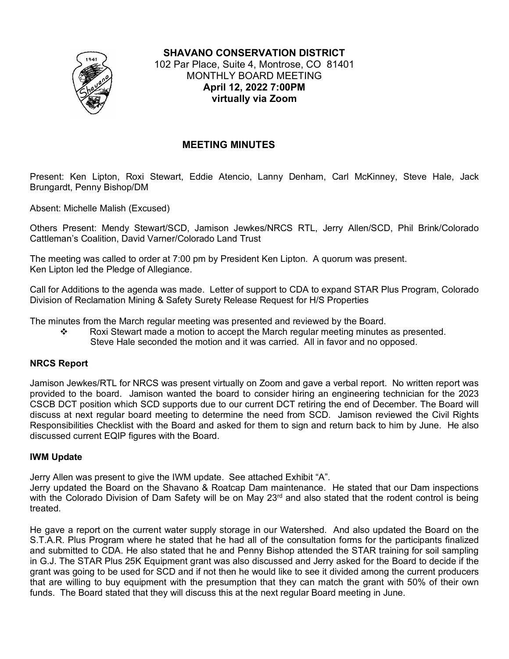

**SHAVANO CONSERVATION DISTRICT** 102 Par Place, Suite 4, Montrose, CO 81401 MONTHLY BOARD MEETING **April 12, 2022 7:00PM virtually via Zoom**

# **MEETING MINUTES**

Present: Ken Lipton, Roxi Stewart, Eddie Atencio, Lanny Denham, Carl McKinney, Steve Hale, Jack Brungardt, Penny Bishop/DM

Absent: Michelle Malish (Excused)

Others Present: Mendy Stewart/SCD, Jamison Jewkes/NRCS RTL, Jerry Allen/SCD, Phil Brink/Colorado Cattleman's Coalition, David Varner/Colorado Land Trust

The meeting was called to order at 7:00 pm by President Ken Lipton. A quorum was present. Ken Lipton led the Pledge of Allegiance.

Call for Additions to the agenda was made. Letter of support to CDA to expand STAR Plus Program, Colorado Division of Reclamation Mining & Safety Surety Release Request for H/S Properties

The minutes from the March regular meeting was presented and reviewed by the Board.

Roxi Stewart made a motion to accept the March regular meeting minutes as presented. Steve Hale seconded the motion and it was carried. All in favor and no opposed.

# **NRCS Report**

Jamison Jewkes/RTL for NRCS was present virtually on Zoom and gave a verbal report. No written report was provided to the board. Jamison wanted the board to consider hiring an engineering technician for the 2023 CSCB DCT position which SCD supports due to our current DCT retiring the end of December. The Board will discuss at next regular board meeting to determine the need from SCD. Jamison reviewed the Civil Rights Responsibilities Checklist with the Board and asked for them to sign and return back to him by June. He also discussed current EQIP figures with the Board.

# **IWM Update**

Jerry Allen was present to give the IWM update. See attached Exhibit "A".

Jerry updated the Board on the Shavano & Roatcap Dam maintenance. He stated that our Dam inspections with the Colorado Division of Dam Safety will be on May 23<sup>rd</sup> and also stated that the rodent control is being treated.

He gave a report on the current water supply storage in our Watershed. And also updated the Board on the S.T.A.R. Plus Program where he stated that he had all of the consultation forms for the participants finalized and submitted to CDA. He also stated that he and Penny Bishop attended the STAR training for soil sampling in G.J. The STAR Plus 25K Equipment grant was also discussed and Jerry asked for the Board to decide if the grant was going to be used for SCD and if not then he would like to see it divided among the current producers that are willing to buy equipment with the presumption that they can match the grant with 50% of their own funds. The Board stated that they will discuss this at the next regular Board meeting in June.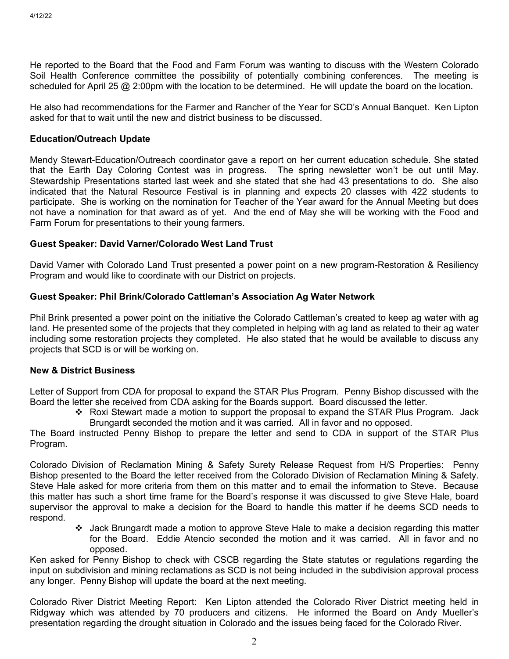He reported to the Board that the Food and Farm Forum was wanting to discuss with the Western Colorado Soil Health Conference committee the possibility of potentially combining conferences. The meeting is scheduled for April 25 @ 2:00pm with the location to be determined. He will update the board on the location.

He also had recommendations for the Farmer and Rancher of the Year for SCD's Annual Banquet. Ken Lipton asked for that to wait until the new and district business to be discussed.

#### **Education/Outreach Update**

Mendy Stewart-Education/Outreach coordinator gave a report on her current education schedule. She stated that the Earth Day Coloring Contest was in progress. The spring newsletter won't be out until May. Stewardship Presentations started last week and she stated that she had 43 presentations to do. She also indicated that the Natural Resource Festival is in planning and expects 20 classes with 422 students to participate. She is working on the nomination for Teacher of the Year award for the Annual Meeting but does not have a nomination for that award as of yet. And the end of May she will be working with the Food and Farm Forum for presentations to their young farmers.

### **Guest Speaker: David Varner/Colorado West Land Trust**

David Varner with Colorado Land Trust presented a power point on a new program-Restoration & Resiliency Program and would like to coordinate with our District on projects.

### **Guest Speaker: Phil Brink/Colorado Cattleman's Association Ag Water Network**

Phil Brink presented a power point on the initiative the Colorado Cattleman's created to keep ag water with ag land. He presented some of the projects that they completed in helping with ag land as related to their ag water including some restoration projects they completed. He also stated that he would be available to discuss any projects that SCD is or will be working on.

## **New & District Business**

Letter of Support from CDA for proposal to expand the STAR Plus Program. Penny Bishop discussed with the Board the letter she received from CDA asking for the Boards support. Board discussed the letter.

\* Roxi Stewart made a motion to support the proposal to expand the STAR Plus Program. Jack Brungardt seconded the motion and it was carried. All in favor and no opposed.

The Board instructed Penny Bishop to prepare the letter and send to CDA in support of the STAR Plus Program.

Colorado Division of Reclamation Mining & Safety Surety Release Request from H/S Properties: Penny Bishop presented to the Board the letter received from the Colorado Division of Reclamation Mining & Safety. Steve Hale asked for more criteria from them on this matter and to email the information to Steve. Because this matter has such a short time frame for the Board's response it was discussed to give Steve Hale, board supervisor the approval to make a decision for the Board to handle this matter if he deems SCD needs to respond.

 Jack Brungardt made a motion to approve Steve Hale to make a decision regarding this matter for the Board. Eddie Atencio seconded the motion and it was carried. All in favor and no opposed.

Ken asked for Penny Bishop to check with CSCB regarding the State statutes or regulations regarding the input on subdivision and mining reclamations as SCD is not being included in the subdivision approval process any longer. Penny Bishop will update the board at the next meeting.

Colorado River District Meeting Report: Ken Lipton attended the Colorado River District meeting held in Ridgway which was attended by 70 producers and citizens. He informed the Board on Andy Mueller's presentation regarding the drought situation in Colorado and the issues being faced for the Colorado River.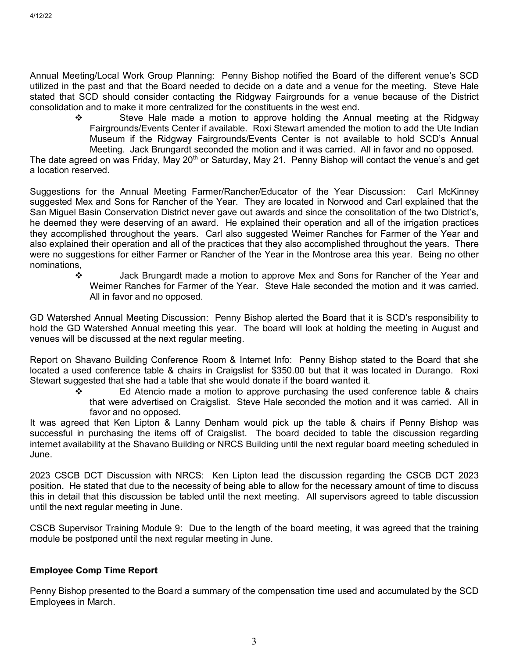Annual Meeting/Local Work Group Planning: Penny Bishop notified the Board of the different venue's SCD utilized in the past and that the Board needed to decide on a date and a venue for the meeting. Steve Hale stated that SCD should consider contacting the Ridgway Fairgrounds for a venue because of the District consolidation and to make it more centralized for the constituents in the west end.

 $\div$  Steve Hale made a motion to approve holding the Annual meeting at the Ridgway Fairgrounds/Events Center if available. Roxi Stewart amended the motion to add the Ute Indian Museum if the Ridgway Fairgrounds/Events Center is not available to hold SCD's Annual Meeting. Jack Brungardt seconded the motion and it was carried. All in favor and no opposed.

The date agreed on was Friday, May 20<sup>th</sup> or Saturday, May 21. Penny Bishop will contact the venue's and get a location reserved.

Suggestions for the Annual Meeting Farmer/Rancher/Educator of the Year Discussion: Carl McKinney suggested Mex and Sons for Rancher of the Year. They are located in Norwood and Carl explained that the San Miguel Basin Conservation District never gave out awards and since the consolitation of the two District's, he deemed they were deserving of an award. He explained their operation and all of the irrigation practices they accomplished throughout the years. Carl also suggested Weimer Ranches for Farmer of the Year and also explained their operation and all of the practices that they also accomplished throughout the years. There were no suggestions for either Farmer or Rancher of the Year in the Montrose area this year. Being no other nominations,

 Jack Brungardt made a motion to approve Mex and Sons for Rancher of the Year and Weimer Ranches for Farmer of the Year. Steve Hale seconded the motion and it was carried. All in favor and no opposed.

GD Watershed Annual Meeting Discussion: Penny Bishop alerted the Board that it is SCD's responsibility to hold the GD Watershed Annual meeting this year. The board will look at holding the meeting in August and venues will be discussed at the next regular meeting.

Report on Shavano Building Conference Room & Internet Info: Penny Bishop stated to the Board that she located a used conference table & chairs in Craigslist for \$350.00 but that it was located in Durango. Roxi Stewart suggested that she had a table that she would donate if the board wanted it.

 $\div$  Ed Atencio made a motion to approve purchasing the used conference table & chairs that were advertised on Craigslist. Steve Hale seconded the motion and it was carried. All in favor and no opposed.

It was agreed that Ken Lipton & Lanny Denham would pick up the table & chairs if Penny Bishop was successful in purchasing the items off of Craigslist. The board decided to table the discussion regarding internet availability at the Shavano Building or NRCS Building until the next regular board meeting scheduled in June.

2023 CSCB DCT Discussion with NRCS: Ken Lipton lead the discussion regarding the CSCB DCT 2023 position. He stated that due to the necessity of being able to allow for the necessary amount of time to discuss this in detail that this discussion be tabled until the next meeting. All supervisors agreed to table discussion until the next regular meeting in June.

CSCB Supervisor Training Module 9: Due to the length of the board meeting, it was agreed that the training module be postponed until the next regular meeting in June.

# **Employee Comp Time Report**

Penny Bishop presented to the Board a summary of the compensation time used and accumulated by the SCD Employees in March.